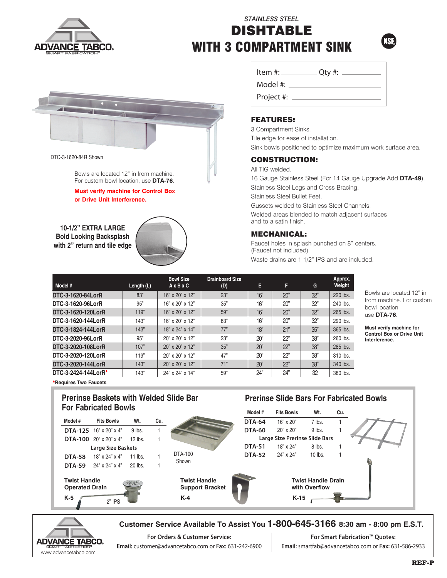

# *STAINLESS STEEL* DISHTABLE WITH 3 COMPARTMENT SINK





#### DTC-3-1620-84R Shown

Bowls are located 12" in from machine. For custom bowl location, use **DTA-76**.

**Must verify machine for Control Box or Drive Unit Interference.**

**10-1/2" EXTRA LARGE Bold Looking Backsplash with 2" return and tile edge**



| Item #:    | $Q$ ty #: |
|------------|-----------|
| Model #:   |           |
| Project #: |           |

## FEATURES:

3 Compartment Sinks. Tile edge for ease of installation. Sink bowls positioned to optimize maximum work surface area.

### CONSTRUCTION:

All TIG welded.

16 Gauge Stainless Steel (For 14 Gauge Upgrade Add **DTA-49**). Stainless Steel Legs and Cross Bracing. Stainless Steel Bullet Feet. Gussets welded to Stainless Steel Channels.

Welded areas blended to match adjacent surfaces and to a satin finish.

## MECHANICAL:

Faucet holes in splash punched on 8" centers. (Faucet not included) Waste drains are 1 1/2" IPS and are included.

**Prerinse Slide Bars For Fabricated Bowls**

| Model #             | Length $(L)$ | <b>Bowl Size</b><br>$A \times B \times C$ | <b>Drainboard Size</b><br>(D) | E.  | F   | G   | Approx.<br>Weight |
|---------------------|--------------|-------------------------------------------|-------------------------------|-----|-----|-----|-------------------|
| DTC-3-1620-84LorR   | 83"          | 16" x 20" x 12"                           | 23"                           | 16" | 20" | 32" | 220 lbs.          |
| DTC-3-1620-96LorR   | 95"          | 16" x 20" x 12"                           | 35"                           | 16" | 20" | 32" | 240 lbs.          |
| DTC-3-1620-120LorR  | 119"         | $16"$ x $20"$ x $12"$                     | 59"                           | 16" | 20" | 32" | 265 lbs.          |
| DTC-3-1620-144LorR  | 143"         | 16" x 20" x 12"                           | 83"                           | 16" | 20" | 32" | 290 lbs.          |
| DTC-3-1824-144LorR  | 143"         | 18" x 24" x 14"                           | 77"                           | 18" | 21" | 35" | 365 lbs.          |
| DTC-3-2020-96LorR   | 95"          | $20$ " x $20$ " x $12$ "                  | 23"                           | 20" | 22" | 38" | 260 lbs.          |
| DTC-3-2020-108LorR  | 107"         | 20" x 20" x 12"                           | 35"                           | 20" | 22" | 38" | 285 lbs.          |
| DTC-3-2020-120LorR  | 119"         | $20$ " x $20$ " x $12$ "                  | 47"                           | 20" | 22" | 38" | 310 lbs.          |
| DTC-3-2020-144LorR  | 143"         | 20" x 20" x 12"                           | 71"                           | 20" | 22" | 38" | 340 lbs.          |
| DTC-3-2424-144LorR* | 143"         | 24" x 24" x 14"                           | 59"                           | 24" | 24" | 32  | 380 lbs.          |

Bowls are located 12" in from machine. For custom bowl location, use **DTA-76**.

**Must verify machine for Control Box or Drive Unit Interference.**

**\*Requires Two Faucets**

## **Prerinse Baskets with Welded Slide Bar For Fabricated Bowls**



**For Orders & Customer Service: Email:** customer@advancetabco.com or **Fax:** 631-242-6900

**For Smart Fabrication™ Quotes: Email:** smartfab@advancetabco.com or **Fax:** 631-586-2933

**ADVANCE TABCO.** www.advancetabco.com